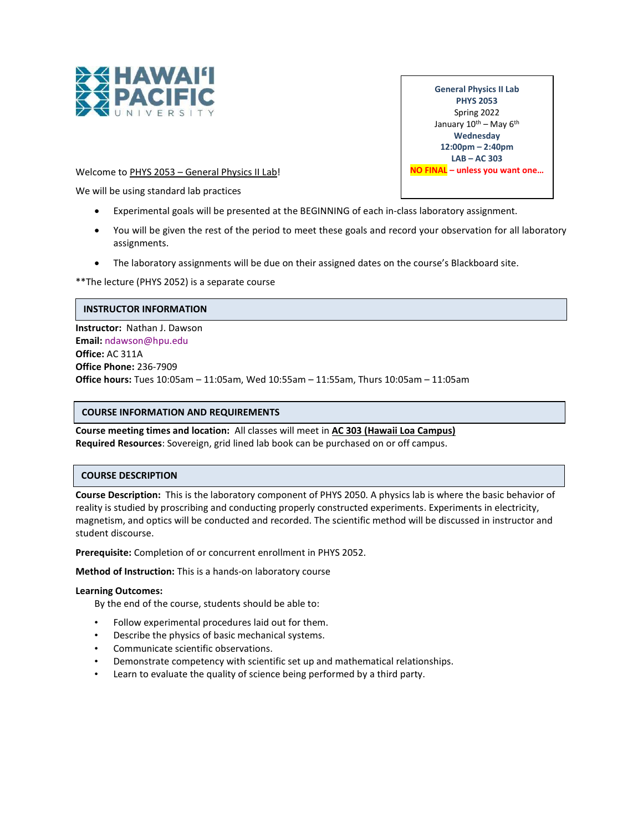

General Physics II Lab PHYS 2053 Spring 2022 January  $10^{\text{th}}$  – May  $6^{\text{th}}$ **Wednesday** 12:00pm – 2:40pm LAB – AC 303 NO FINAL – unless you want one…

Welcome to PHYS 2053 - General Physics II Lab!

We will be using standard lab practices

- Experimental goals will be presented at the BEGINNING of each in-class laboratory assignment.
- You will be given the rest of the period to meet these goals and record your observation for all laboratory assignments.
- The laboratory assignments will be due on their assigned dates on the course's Blackboard site.

\*\*The lecture (PHYS 2052) is a separate course

### INSTRUCTOR INFORMATION

Instructor: Nathan J. Dawson Email: ndawson@hpu.edu Office: AC 311A Office Phone: 236-7909 Office hours: Tues 10:05am – 11:05am, Wed 10:55am – 11:55am, Thurs 10:05am – 11:05am

### COURSE INFORMATION AND REQUIREMENTS

Course meeting times and location: All classes will meet in AC 303 (Hawaii Loa Campus) Required Resources: Sovereign, grid lined lab book can be purchased on or off campus.

### COURSE DESCRIPTION

Course Description: This is the laboratory component of PHYS 2050. A physics lab is where the basic behavior of reality is studied by proscribing and conducting properly constructed experiments. Experiments in electricity, magnetism, and optics will be conducted and recorded. The scientific method will be discussed in instructor and student discourse.

Prerequisite: Completion of or concurrent enrollment in PHYS 2052.

Method of Instruction: This is a hands-on laboratory course

### Learning Outcomes:

By the end of the course, students should be able to:

- Follow experimental procedures laid out for them.
- Describe the physics of basic mechanical systems.
- Communicate scientific observations.
- Demonstrate competency with scientific set up and mathematical relationships.
- Learn to evaluate the quality of science being performed by a third party.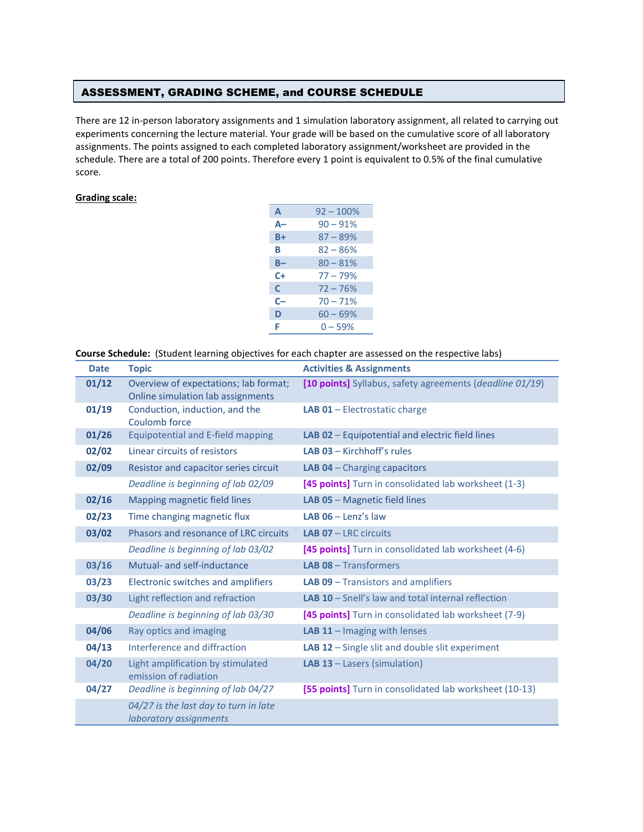# ASSESSMENT, GRADING SCHEME, and COURSE SCHEDULE

There are 12 in-person laboratory assignments and 1 simulation laboratory assignment, all related to carrying out experiments concerning the lecture material. Your grade will be based on the cumulative score of all laboratory assignments. The points assigned to each completed laboratory assignment/worksheet are provided in the schedule. There are a total of 200 points. Therefore every 1 point is equivalent to 0.5% of the final cumulative score.

### Grading scale:

| A            | $92 - 100%$ |
|--------------|-------------|
| А-           | $90 - 91%$  |
| B+           | $87 - 89%$  |
| в            | $82 - 86%$  |
| B-           | $80 - 81%$  |
| C+           | $77 - 79%$  |
| $\mathsf{C}$ | $72 - 76%$  |
| C-           | $70 - 71%$  |
| D            | $60 - 69%$  |
| F            | $0 - 59%$   |

| Course Schedule: (Student learning objectives for each chapter are assessed on the respective labs) |  |  |  |  |
|-----------------------------------------------------------------------------------------------------|--|--|--|--|
|-----------------------------------------------------------------------------------------------------|--|--|--|--|

| <b>Date</b> | <b>Topic</b>                                                               | <b>Activities &amp; Assignments</b>                       |
|-------------|----------------------------------------------------------------------------|-----------------------------------------------------------|
| 01/12       | Overview of expectations; lab format;<br>Online simulation lab assignments | [10 points] Syllabus, safety agreements (deadline 01/19)  |
| 01/19       | Conduction, induction, and the<br>Coulomb force                            | LAB 01 - Electrostatic charge                             |
| 01/26       | <b>Equipotential and E-field mapping</b>                                   | LAB 02 - Equipotential and electric field lines           |
| 02/02       | Linear circuits of resistors                                               | <b>LAB 03 - Kirchhoff's rules</b>                         |
| 02/09       | Resistor and capacitor series circuit                                      | <b>LAB 04 - Charging capacitors</b>                       |
|             | Deadline is beginning of lab 02/09                                         | [45 points] Turn in consolidated lab worksheet (1-3)      |
| 02/16       | Mapping magnetic field lines                                               | LAB 05 - Magnetic field lines                             |
| 02/23       | Time changing magnetic flux                                                | LAB $06 -$ Lenz's law                                     |
| 03/02       | Phasors and resonance of LRC circuits                                      | <b>LAB 07 - LRC circuits</b>                              |
|             | Deadline is beginning of lab 03/02                                         | [45 points] Turn in consolidated lab worksheet (4-6)      |
| 03/16       | Mutual- and self-inductance                                                | <b>LAB 08 - Transformers</b>                              |
| 03/23       | Electronic switches and amplifiers                                         | <b>LAB 09 - Transistors and amplifiers</b>                |
| 03/30       | Light reflection and refraction                                            | <b>LAB 10</b> - Snell's law and total internal reflection |
|             | Deadline is beginning of lab 03/30                                         | [45 points] Turn in consolidated lab worksheet (7-9)      |
| 04/06       | Ray optics and imaging                                                     | <b>LAB 11</b> $-$ Imaging with lenses                     |
| 04/13       | Interference and diffraction                                               | LAB 12 - Single slit and double slit experiment           |
| 04/20       | Light amplification by stimulated<br>emission of radiation                 | LAB 13 - Lasers (simulation)                              |
| 04/27       | Deadline is beginning of lab 04/27                                         | [55 points] Turn in consolidated lab worksheet (10-13)    |
|             | 04/27 is the last day to turn in late<br>laboratory assignments            |                                                           |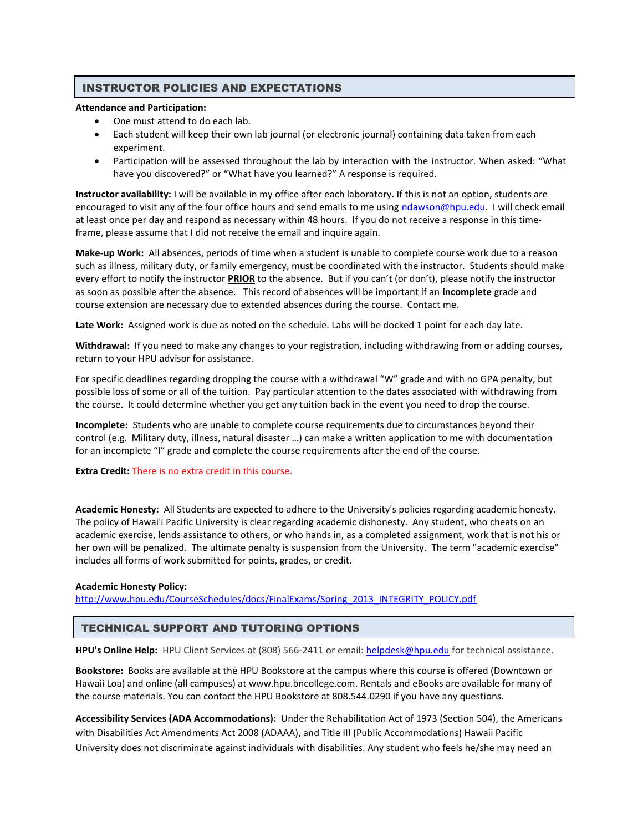## INSTRUCTOR POLICIES AND EXPECTATIONS

#### Attendance and Participation:

- One must attend to do each lab.
- Each student will keep their own lab journal (or electronic journal) containing data taken from each experiment.
- Participation will be assessed throughout the lab by interaction with the instructor. When asked: "What have you discovered?" or "What have you learned?" A response is required.

Instructor availability: I will be available in my office after each laboratory. If this is not an option, students are encouraged to visit any of the four office hours and send emails to me using ndawson@hpu.edu. I will check email at least once per day and respond as necessary within 48 hours. If you do not receive a response in this timeframe, please assume that I did not receive the email and inquire again.

Make-up Work: All absences, periods of time when a student is unable to complete course work due to a reason such as illness, military duty, or family emergency, must be coordinated with the instructor. Students should make every effort to notify the instructor **PRIOR** to the absence. But if you can't (or don't), please notify the instructor as soon as possible after the absence. This record of absences will be important if an incomplete grade and course extension are necessary due to extended absences during the course. Contact me.

Late Work: Assigned work is due as noted on the schedule. Labs will be docked 1 point for each day late.

Withdrawal: If you need to make any changes to your registration, including withdrawing from or adding courses, return to your HPU advisor for assistance.

For specific deadlines regarding dropping the course with a withdrawal "W" grade and with no GPA penalty, but possible loss of some or all of the tuition. Pay particular attention to the dates associated with withdrawing from the course. It could determine whether you get any tuition back in the event you need to drop the course.

Incomplete: Students who are unable to complete course requirements due to circumstances beyond their control (e.g. Military duty, illness, natural disaster …) can make a written application to me with documentation for an incomplete "I" grade and complete the course requirements after the end of the course.

### Extra Credit: There is no extra credit in this course.

Academic Honesty: All Students are expected to adhere to the University's policies regarding academic honesty. The policy of Hawai'i Pacific University is clear regarding academic dishonesty. Any student, who cheats on an academic exercise, lends assistance to others, or who hands in, as a completed assignment, work that is not his or her own will be penalized. The ultimate penalty is suspension from the University. The term "academic exercise" includes all forms of work submitted for points, grades, or credit.

### Academic Honesty Policy:

http://www.hpu.edu/CourseSchedules/docs/FinalExams/Spring\_2013\_INTEGRITY\_POLICY.pdf

# TECHNICAL SUPPORT AND TUTORING OPTIONS

HPU's Online Help: HPU Client Services at (808) 566-2411 or email: helpdesk@hpu.edu for technical assistance.

Bookstore: Books are available at the HPU Bookstore at the campus where this course is offered (Downtown or Hawaii Loa) and online (all campuses) at www.hpu.bncollege.com. Rentals and eBooks are available for many of the course materials. You can contact the HPU Bookstore at 808.544.0290 if you have any questions.

Accessibility Services (ADA Accommodations): Under the Rehabilitation Act of 1973 (Section 504), the Americans with Disabilities Act Amendments Act 2008 (ADAAA), and Title III (Public Accommodations) Hawaii Pacific University does not discriminate against individuals with disabilities. Any student who feels he/she may need an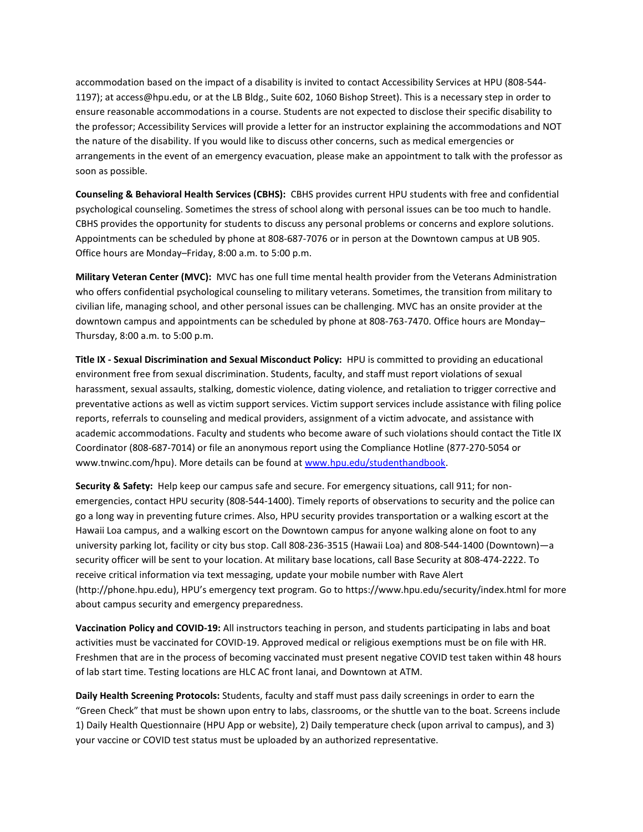accommodation based on the impact of a disability is invited to contact Accessibility Services at HPU (808-544- 1197); at access@hpu.edu, or at the LB Bldg., Suite 602, 1060 Bishop Street). This is a necessary step in order to ensure reasonable accommodations in a course. Students are not expected to disclose their specific disability to the professor; Accessibility Services will provide a letter for an instructor explaining the accommodations and NOT the nature of the disability. If you would like to discuss other concerns, such as medical emergencies or arrangements in the event of an emergency evacuation, please make an appointment to talk with the professor as soon as possible.

Counseling & Behavioral Health Services (CBHS): CBHS provides current HPU students with free and confidential psychological counseling. Sometimes the stress of school along with personal issues can be too much to handle. CBHS provides the opportunity for students to discuss any personal problems or concerns and explore solutions. Appointments can be scheduled by phone at 808-687-7076 or in person at the Downtown campus at UB 905. Office hours are Monday–Friday, 8:00 a.m. to 5:00 p.m.

Military Veteran Center (MVC): MVC has one full time mental health provider from the Veterans Administration who offers confidential psychological counseling to military veterans. Sometimes, the transition from military to civilian life, managing school, and other personal issues can be challenging. MVC has an onsite provider at the downtown campus and appointments can be scheduled by phone at 808-763-7470. Office hours are Monday– Thursday, 8:00 a.m. to 5:00 p.m.

Title IX - Sexual Discrimination and Sexual Misconduct Policy: HPU is committed to providing an educational environment free from sexual discrimination. Students, faculty, and staff must report violations of sexual harassment, sexual assaults, stalking, domestic violence, dating violence, and retaliation to trigger corrective and preventative actions as well as victim support services. Victim support services include assistance with filing police reports, referrals to counseling and medical providers, assignment of a victim advocate, and assistance with academic accommodations. Faculty and students who become aware of such violations should contact the Title IX Coordinator (808-687-7014) or file an anonymous report using the Compliance Hotline (877-270-5054 or www.tnwinc.com/hpu). More details can be found at www.hpu.edu/studenthandbook.

Security & Safety: Help keep our campus safe and secure. For emergency situations, call 911; for nonemergencies, contact HPU security (808-544-1400). Timely reports of observations to security and the police can go a long way in preventing future crimes. Also, HPU security provides transportation or a walking escort at the Hawaii Loa campus, and a walking escort on the Downtown campus for anyone walking alone on foot to any university parking lot, facility or city bus stop. Call 808-236-3515 (Hawaii Loa) and 808-544-1400 (Downtown)—a security officer will be sent to your location. At military base locations, call Base Security at 808-474-2222. To receive critical information via text messaging, update your mobile number with Rave Alert (http://phone.hpu.edu), HPU's emergency text program. Go to https://www.hpu.edu/security/index.html for more about campus security and emergency preparedness.

Vaccination Policy and COVID-19: All instructors teaching in person, and students participating in labs and boat activities must be vaccinated for COVID-19. Approved medical or religious exemptions must be on file with HR. Freshmen that are in the process of becoming vaccinated must present negative COVID test taken within 48 hours of lab start time. Testing locations are HLC AC front lanai, and Downtown at ATM.

Daily Health Screening Protocols: Students, faculty and staff must pass daily screenings in order to earn the "Green Check" that must be shown upon entry to labs, classrooms, or the shuttle van to the boat. Screens include 1) Daily Health Questionnaire (HPU App or website), 2) Daily temperature check (upon arrival to campus), and 3) your vaccine or COVID test status must be uploaded by an authorized representative.